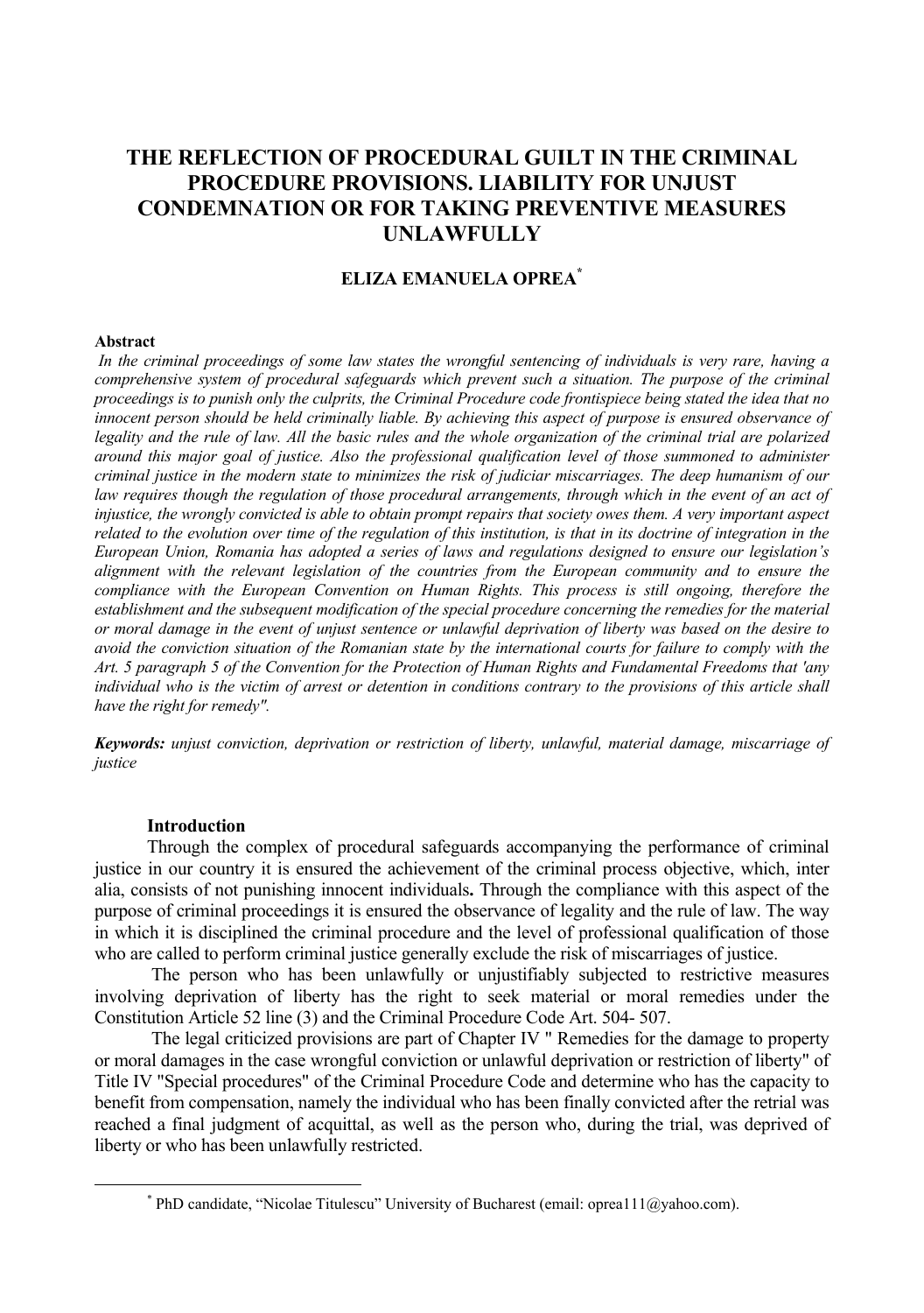# **THE REFLECTION OF PROCEDURAL GUILT IN THE CRIMINAL PROCEDURE PROVISIONS. LIABILITY FOR UNJUST CONDEMNATION OR FOR TAKING PREVENTIVE MEASURES UNLAWFULLY**

## **ELIZA EMANUELA OPREA\***

#### **Abstract**

 *In the criminal proceedings of some law states the wrongful sentencing of individuals is very rare, having a comprehensive system of procedural safeguards which prevent such a situation. The purpose of the criminal proceedings is to punish only the culprits, the Criminal Procedure code frontispiece being stated the idea that no innocent person should be held criminally liable. By achieving this aspect of purpose is ensured observance of legality and the rule of law. All the basic rules and the whole organization of the criminal trial are polarized around this major goal of justice. Also the professional qualification level of those summoned to administer criminal justice in the modern state to minimizes the risk of judiciar miscarriages. The deep humanism of our law requires though the regulation of those procedural arrangements, through which in the event of an act of injustice, the wrongly convicted is able to obtain prompt repairs that society owes them. A very important aspect related to the evolution over time of the regulation of this institution, is that in its doctrine of integration in the European Union, Romania has adopted a series of laws and regulations designed to ensure our legislation's alignment with the relevant legislation of the countries from the European community and to ensure the compliance with the European Convention on Human Rights. This process is still ongoing, therefore the*  establishment and the subsequent modification of the special procedure concerning the remedies for the material *or moral damage in the event of unjust sentence or unlawful deprivation of liberty was based on the desire to avoid the conviction situation of the Romanian state by the international courts for failure to comply with the Art. 5 paragraph 5 of the Convention for the Protection of Human Rights and Fundamental Freedoms that 'any individual who is the victim of arrest or detention in conditions contrary to the provisions of this article shall have the right for remedy".* 

*Keywords: unjust conviction, deprivation or restriction of liberty, unlawful, material damage, miscarriage of justice*

#### **Introduction**

Through the complex of procedural safeguards accompanying the performance of criminal justice in our country it is ensured the achievement of the criminal process objective, which, inter alia, consists of not punishing innocent individuals**.** Through the compliance with this aspect of the purpose of criminal proceedings it is ensured the observance of legality and the rule of law. The way in which it is disciplined the criminal procedure and the level of professional qualification of those who are called to perform criminal justice generally exclude the risk of miscarriages of justice.

 The person who has been unlawfully or unjustifiably subjected to restrictive measures involving deprivation of liberty has the right to seek material or moral remedies under the Constitution Article 52 line (3) and the Criminal Procedure Code Art. 504- 507.

 The legal criticized provisions are part of Chapter IV " Remedies for the damage to property or moral damages in the case wrongful conviction or unlawful deprivation or restriction of liberty" of Title IV "Special procedures" of the Criminal Procedure Code and determine who has the capacity to benefit from compensation, namely the individual who has been finally convicted after the retrial was reached a final judgment of acquittal, as well as the person who, during the trial, was deprived of liberty or who has been unlawfully restricted.

 <sup>\*</sup>  $*$  PhD candidate, "Nicolae Titulescu" University of Bucharest (email: oprea111@yahoo.com).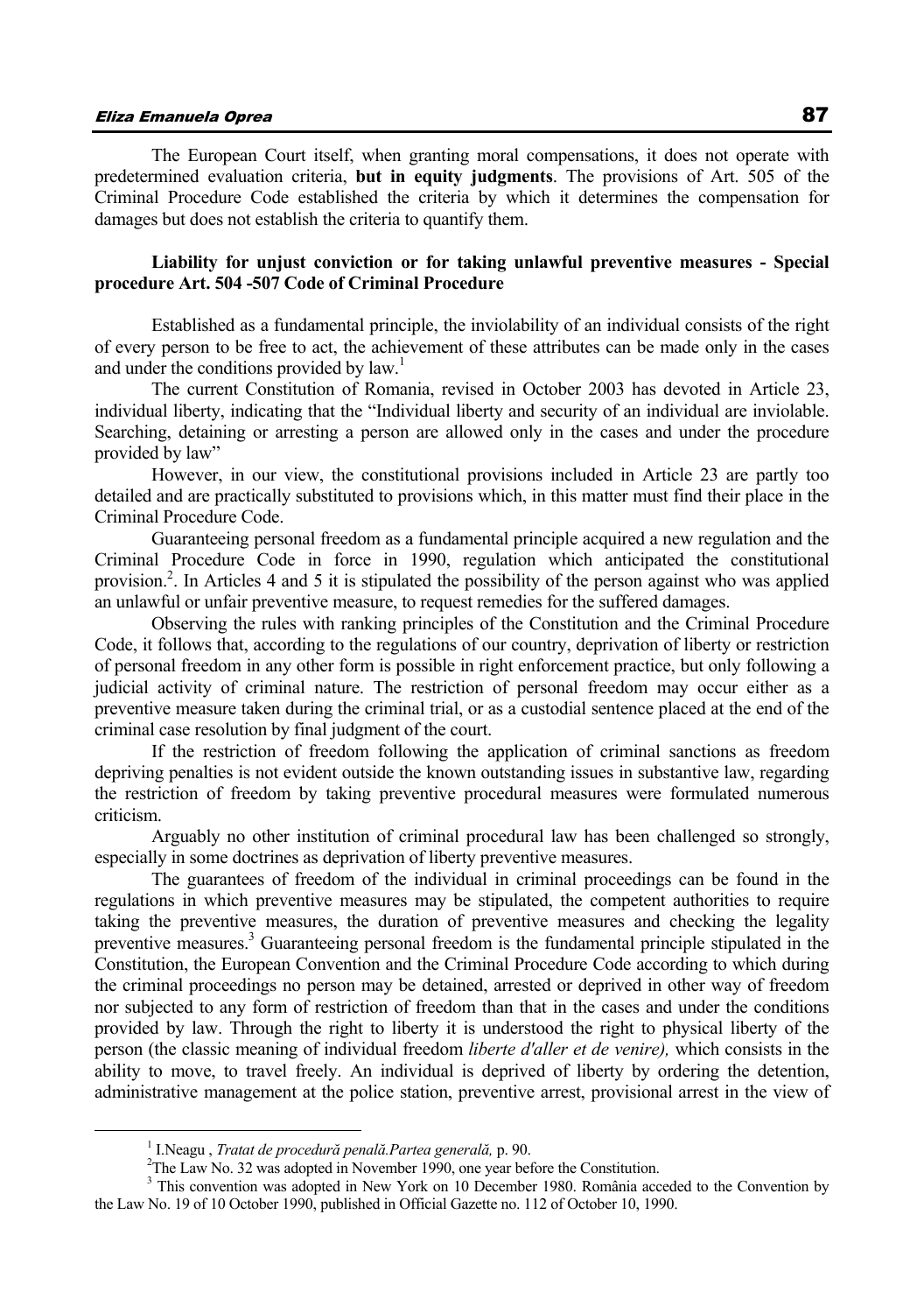The European Court itself, when granting moral compensations, it does not operate with predetermined evaluation criteria, **but in equity judgments**. The provisions of Art. 505 of the Criminal Procedure Code established the criteria by which it determines the compensation for damages but does not establish the criteria to quantify them.

#### **Liability for unjust conviction or for taking unlawful preventive measures - Special procedure Art. 504 -507 Code of Criminal Procedure**

 Established as a fundamental principle, the inviolability of an individual consists of the right of every person to be free to act, the achievement of these attributes can be made only in the cases and under the conditions provided by  $law<sup>1</sup>$ .

 The current Constitution of Romania, revised in October 2003 has devoted in Article 23, individual liberty, indicating that the "Individual liberty and security of an individual are inviolable. Searching, detaining or arresting a person are allowed only in the cases and under the procedure provided by law"

 However, in our view, the constitutional provisions included in Article 23 are partly too detailed and are practically substituted to provisions which, in this matter must find their place in the Criminal Procedure Code.

 Guaranteeing personal freedom as a fundamental principle acquired a new regulation and the Criminal Procedure Code in force in 1990, regulation which anticipated the constitutional provision.<sup>2</sup>. In Articles 4 and 5 it is stipulated the possibility of the person against who was applied an unlawful or unfair preventive measure, to request remedies for the suffered damages.

 Observing the rules with ranking principles of the Constitution and the Criminal Procedure Code, it follows that, according to the regulations of our country, deprivation of liberty or restriction of personal freedom in any other form is possible in right enforcement practice, but only following a judicial activity of criminal nature. The restriction of personal freedom may occur either as a preventive measure taken during the criminal trial, or as a custodial sentence placed at the end of the criminal case resolution by final judgment of the court.

 If the restriction of freedom following the application of criminal sanctions as freedom depriving penalties is not evident outside the known outstanding issues in substantive law, regarding the restriction of freedom by taking preventive procedural measures were formulated numerous criticism.

 Arguably no other institution of criminal procedural law has been challenged so strongly, especially in some doctrines as deprivation of liberty preventive measures.

 The guarantees of freedom of the individual in criminal proceedings can be found in the regulations in which preventive measures may be stipulated, the competent authorities to require taking the preventive measures, the duration of preventive measures and checking the legality preventive measures.<sup>3</sup> Guaranteeing personal freedom is the fundamental principle stipulated in the Constitution, the European Convention and the Criminal Procedure Code according to which during the criminal proceedings no person may be detained, arrested or deprived in other way of freedom nor subjected to any form of restriction of freedom than that in the cases and under the conditions provided by law. Through the right to liberty it is understood the right to physical liberty of the person (the classic meaning of individual freedom *liberte d'aller et de venire),* which consists in the ability to move, to travel freely. An individual is deprived of liberty by ordering the detention, administrative management at the police station, preventive arrest, provisional arrest in the view of

 $\frac{1}{1}$ I.Neagu , *Tratat de procedură penală.Partea generală,* p. 90. 2

 $2$ The Law No. 32 was adopted in November 1990, one year before the Constitution.

<sup>&</sup>lt;sup>3</sup> This convention was adopted in New York on 10 December 1980. România acceded to the Convention by the Law No. 19 of 10 October 1990, published in Official Gazette no. 112 of October 10, 1990.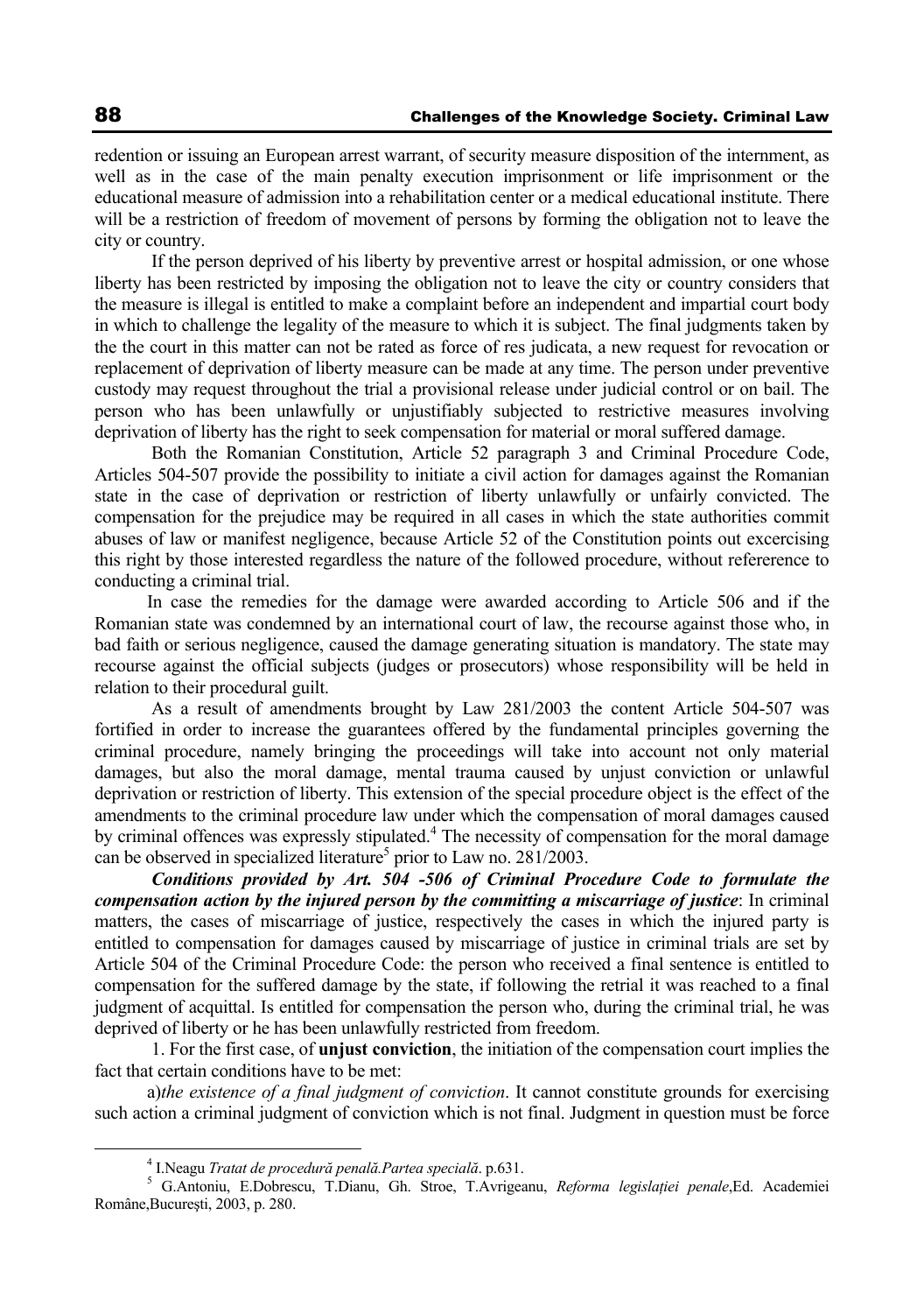redention or issuing an European arrest warrant, of security measure disposition of the internment, as well as in the case of the main penalty execution imprisonment or life imprisonment or the educational measure of admission into a rehabilitation center or a medical educational institute. There will be a restriction of freedom of movement of persons by forming the obligation not to leave the city or country.

 If the person deprived of his liberty by preventive arrest or hospital admission, or one whose liberty has been restricted by imposing the obligation not to leave the city or country considers that the measure is illegal is entitled to make a complaint before an independent and impartial court body in which to challenge the legality of the measure to which it is subject. The final judgments taken by the the court in this matter can not be rated as force of res judicata, a new request for revocation or replacement of deprivation of liberty measure can be made at any time. The person under preventive custody may request throughout the trial a provisional release under judicial control or on bail. The person who has been unlawfully or unjustifiably subjected to restrictive measures involving deprivation of liberty has the right to seek compensation for material or moral suffered damage.

 Both the Romanian Constitution, Article 52 paragraph 3 and Criminal Procedure Code, Articles 504-507 provide the possibility to initiate a civil action for damages against the Romanian state in the case of deprivation or restriction of liberty unlawfully or unfairly convicted. The compensation for the prejudice may be required in all cases in which the state authorities commit abuses of law or manifest negligence, because Article 52 of the Constitution points out excercising this right by those interested regardless the nature of the followed procedure, without refererence to conducting a criminal trial.

In case the remedies for the damage were awarded according to Article 506 and if the Romanian state was condemned by an international court of law, the recourse against those who, in bad faith or serious negligence, caused the damage generating situation is mandatory. The state may recourse against the official subjects (judges or prosecutors) whose responsibility will be held in relation to their procedural guilt.

 As a result of amendments brought by Law 281/2003 the content Article 504-507 was fortified in order to increase the guarantees offered by the fundamental principles governing the criminal procedure, namely bringing the proceedings will take into account not only material damages, but also the moral damage, mental trauma caused by unjust conviction or unlawful deprivation or restriction of liberty. This extension of the special procedure object is the effect of the amendments to the criminal procedure law under which the compensation of moral damages caused by criminal offences was expressly stipulated.<sup>4</sup> The necessity of compensation for the moral damage can be observed in specialized literature<sup>5</sup> prior to Law no. 281/2003.

 *Conditions provided by Art. 504 -506 of Criminal Procedure Code to formulate the compensation action by the injured person by the committing a miscarriage of justice*: In criminal matters, the cases of miscarriage of justice, respectively the cases in which the injured party is entitled to compensation for damages caused by miscarriage of justice in criminal trials are set by Article 504 of the Criminal Procedure Code: the person who received a final sentence is entitled to compensation for the suffered damage by the state, if following the retrial it was reached to a final judgment of acquittal. Is entitled for compensation the person who, during the criminal trial, he was deprived of liberty or he has been unlawfully restricted from freedom.

 1. For the first case, of **unjust conviction**, the initiation of the compensation court implies the fact that certain conditions have to be met:

a)*the existence of a final judgment of conviction*. It cannot constitute grounds for exercising such action a criminal judgment of conviction which is not final. Judgment in question must be force

 $\frac{1}{4}$ I.Neagu *Tratat de procedură penală.Partea specială*. p.631. 5

G.Antoniu, E.Dobrescu, T.Dianu, Gh. Stroe, T.Avrigeanu, *Reforma legislaţiei penale*,Ed. Academiei Române,Bucureşti, 2003, p. 280.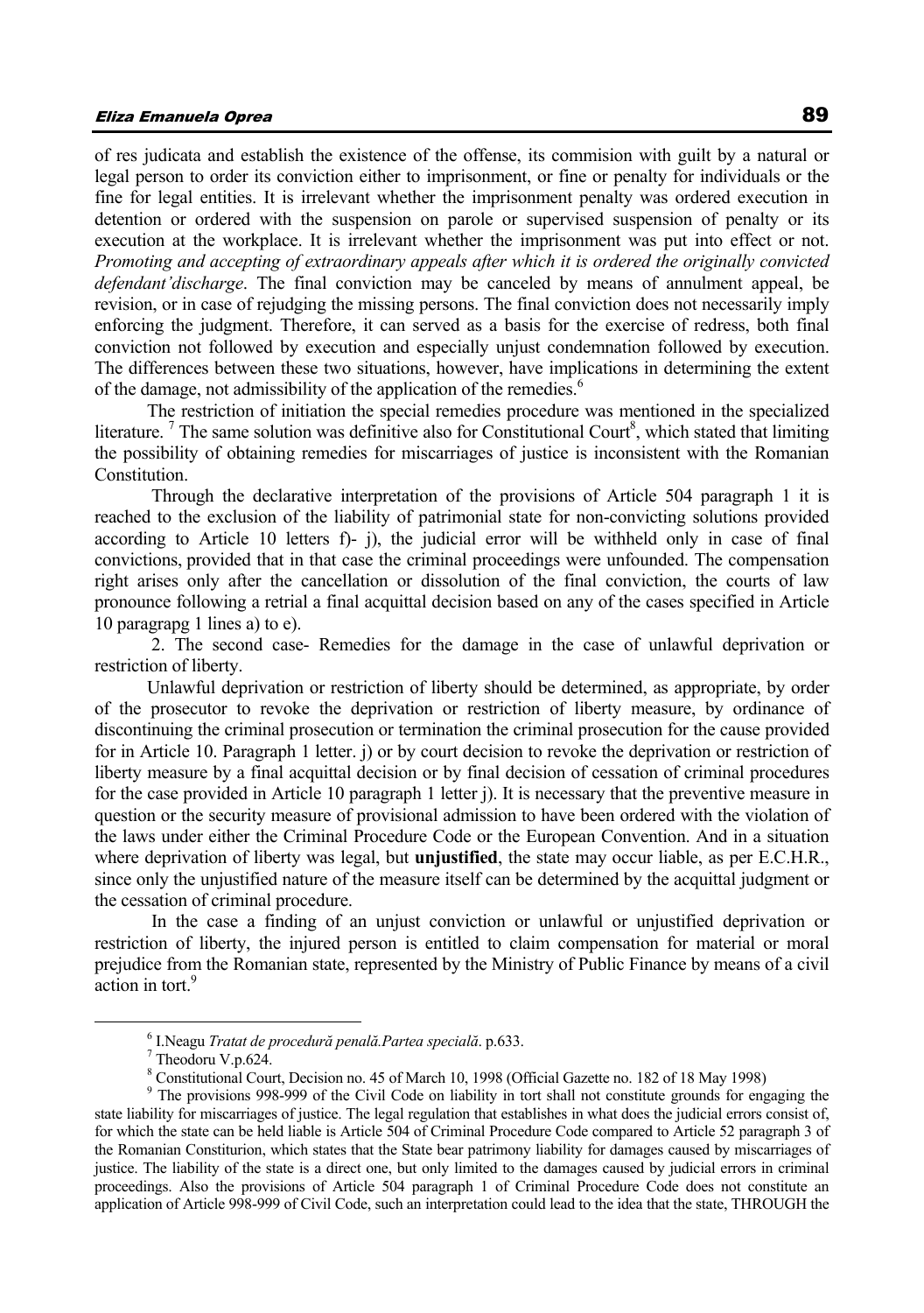of res judicata and establish the existence of the offense, its commision with guilt by a natural or legal person to order its conviction either to imprisonment, or fine or penalty for individuals or the fine for legal entities. It is irrelevant whether the imprisonment penalty was ordered execution in detention or ordered with the suspension on parole or supervised suspension of penalty or its execution at the workplace. It is irrelevant whether the imprisonment was put into effect or not. *Promoting and accepting of extraordinary appeals after which it is ordered the originally convicted defendant'discharge*. The final conviction may be canceled by means of annulment appeal, be revision, or in case of rejudging the missing persons. The final conviction does not necessarily imply enforcing the judgment. Therefore, it can served as a basis for the exercise of redress, both final conviction not followed by execution and especially unjust condemnation followed by execution. The differences between these two situations, however, have implications in determining the extent of the damage, not admissibility of the application of the remedies.<sup>6</sup>

The restriction of initiation the special remedies procedure was mentioned in the specialized literature.<sup>7</sup> The same solution was definitive also for Constitutional Court<sup>8</sup>, which stated that limiting the possibility of obtaining remedies for miscarriages of justice is inconsistent with the Romanian Constitution.

 Through the declarative interpretation of the provisions of Article 504 paragraph 1 it is reached to the exclusion of the liability of patrimonial state for non-convicting solutions provided according to Article 10 letters f)- j), the judicial error will be withheld only in case of final convictions, provided that in that case the criminal proceedings were unfounded. The compensation right arises only after the cancellation or dissolution of the final conviction, the courts of law pronounce following a retrial a final acquittal decision based on any of the cases specified in Article 10 paragrapg 1 lines a) to e).

 2. The second case- Remedies for the damage in the case of unlawful deprivation or restriction of liberty.

Unlawful deprivation or restriction of liberty should be determined, as appropriate, by order of the prosecutor to revoke the deprivation or restriction of liberty measure, by ordinance of discontinuing the criminal prosecution or termination the criminal prosecution for the cause provided for in Article 10. Paragraph 1 letter. j) or by court decision to revoke the deprivation or restriction of liberty measure by a final acquittal decision or by final decision of cessation of criminal procedures for the case provided in Article 10 paragraph 1 letter j). It is necessary that the preventive measure in question or the security measure of provisional admission to have been ordered with the violation of the laws under either the Criminal Procedure Code or the European Convention. And in a situation where deprivation of liberty was legal, but **unjustified**, the state may occur liable, as per E.C.H.R., since only the unjustified nature of the measure itself can be determined by the acquittal judgment or the cessation of criminal procedure.

 In the case a finding of an unjust conviction or unlawful or unjustified deprivation or restriction of liberty, the injured person is entitled to claim compensation for material or moral prejudice from the Romanian state, represented by the Ministry of Public Finance by means of a civil action in tort.<sup>9</sup>

 <sup>6</sup> I.Neagu *Tratat de procedură penală.Partea specială*. p.633. 7

Theodoru V.p.624.

<sup>&</sup>lt;sup>8</sup> Constitutional Court, Decision no. 45 of March 10, 1998 (Official Gazette no. 182 of 18 May 1998)

<sup>&</sup>lt;sup>9</sup> The provisions 998-999 of the Civil Code on liability in tort shall not constitute grounds for engaging the state liability for miscarriages of justice. The legal regulation that establishes in what does the judicial errors consist of, for which the state can be held liable is Article 504 of Criminal Procedure Code compared to Article 52 paragraph 3 of the Romanian Constiturion, which states that the State bear patrimony liability for damages caused by miscarriages of justice. The liability of the state is a direct one, but only limited to the damages caused by judicial errors in criminal proceedings. Also the provisions of Article 504 paragraph 1 of Criminal Procedure Code does not constitute an application of Article 998-999 of Civil Code, such an interpretation could lead to the idea that the state, THROUGH the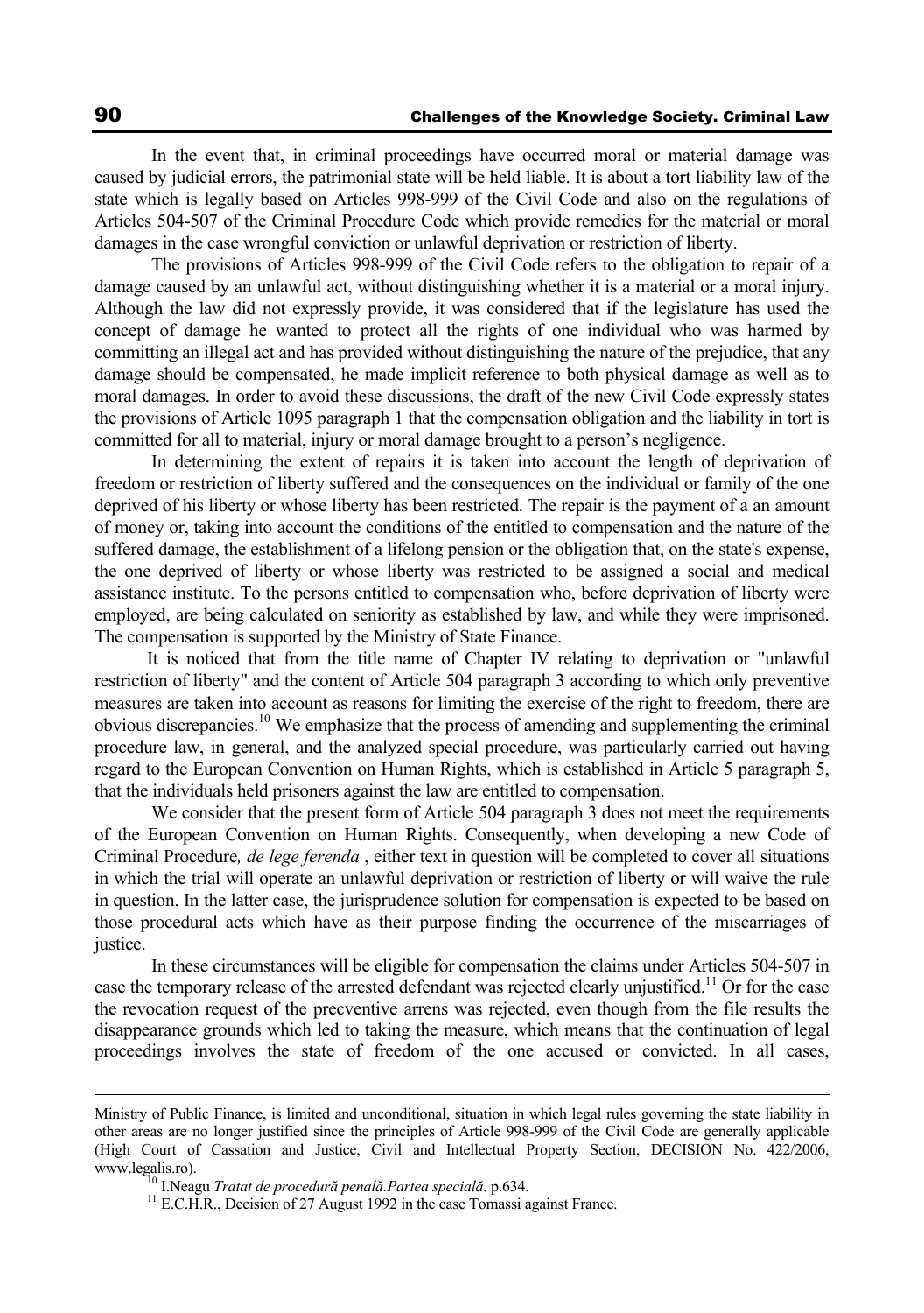In the event that, in criminal proceedings have occurred moral or material damage was caused by judicial errors, the patrimonial state will be held liable. It is about a tort liability law of the state which is legally based on Articles 998-999 of the Civil Code and also on the regulations of Articles 504-507 of the Criminal Procedure Code which provide remedies for the material or moral damages in the case wrongful conviction or unlawful deprivation or restriction of liberty.

 The provisions of Articles 998-999 of the Civil Code refers to the obligation to repair of a damage caused by an unlawful act, without distinguishing whether it is a material or a moral injury. Although the law did not expressly provide, it was considered that if the legislature has used the concept of damage he wanted to protect all the rights of one individual who was harmed by committing an illegal act and has provided without distinguishing the nature of the prejudice, that any damage should be compensated, he made implicit reference to both physical damage as well as to moral damages. In order to avoid these discussions, the draft of the new Civil Code expressly states the provisions of Article 1095 paragraph 1 that the compensation obligation and the liability in tort is committed for all to material, injury or moral damage brought to a person's negligence.

 In determining the extent of repairs it is taken into account the length of deprivation of freedom or restriction of liberty suffered and the consequences on the individual or family of the one deprived of his liberty or whose liberty has been restricted. The repair is the payment of a an amount of money or, taking into account the conditions of the entitled to compensation and the nature of the suffered damage, the establishment of a lifelong pension or the obligation that, on the state's expense, the one deprived of liberty or whose liberty was restricted to be assigned a social and medical assistance institute. To the persons entitled to compensation who, before deprivation of liberty were employed, are being calculated on seniority as established by law, and while they were imprisoned. The compensation is supported by the Ministry of State Finance.

It is noticed that from the title name of Chapter IV relating to deprivation or "unlawful restriction of liberty" and the content of Article 504 paragraph 3 according to which only preventive measures are taken into account as reasons for limiting the exercise of the right to freedom, there are obvious discrepancies.10 We emphasize that the process of amending and supplementing the criminal procedure law, in general, and the analyzed special procedure, was particularly carried out having regard to the European Convention on Human Rights, which is established in Article 5 paragraph 5, that the individuals held prisoners against the law are entitled to compensation.

 We consider that the present form of Article 504 paragraph 3 does not meet the requirements of the European Convention on Human Rights. Consequently, when developing a new Code of Criminal Procedure*, de lege ferenda* , either text in question will be completed to cover all situations in which the trial will operate an unlawful deprivation or restriction of liberty or will waive the rule in question. In the latter case, the jurisprudence solution for compensation is expected to be based on those procedural acts which have as their purpose finding the occurrence of the miscarriages of justice.

 In these circumstances will be eligible for compensation the claims under Articles 504-507 in case the temporary release of the arrested defendant was rejected clearly unjustified.<sup>11</sup> Or for the case the revocation request of the precventive arrens was rejected, even though from the file results the disappearance grounds which led to taking the measure, which means that the continuation of legal proceedings involves the state of freedom of the one accused or convicted. In all cases,

Ministry of Public Finance, is limited and unconditional, situation in which legal rules governing the state liability in other areas are no longer justified since the principles of Article 998-999 of the Civil Code are generally applicable (High Court of Cassation and Justice, Civil and Intellectual Property Section, DECISION No. 422/2006, www.legalis.ro).<br><sup>10</sup> I.Neagu *Tratat de procedură penală.Partea specială*. p.634.<br><sup>11</sup> E.C.H.R., Decision of 27 August 1992 in the case Tomassi against France.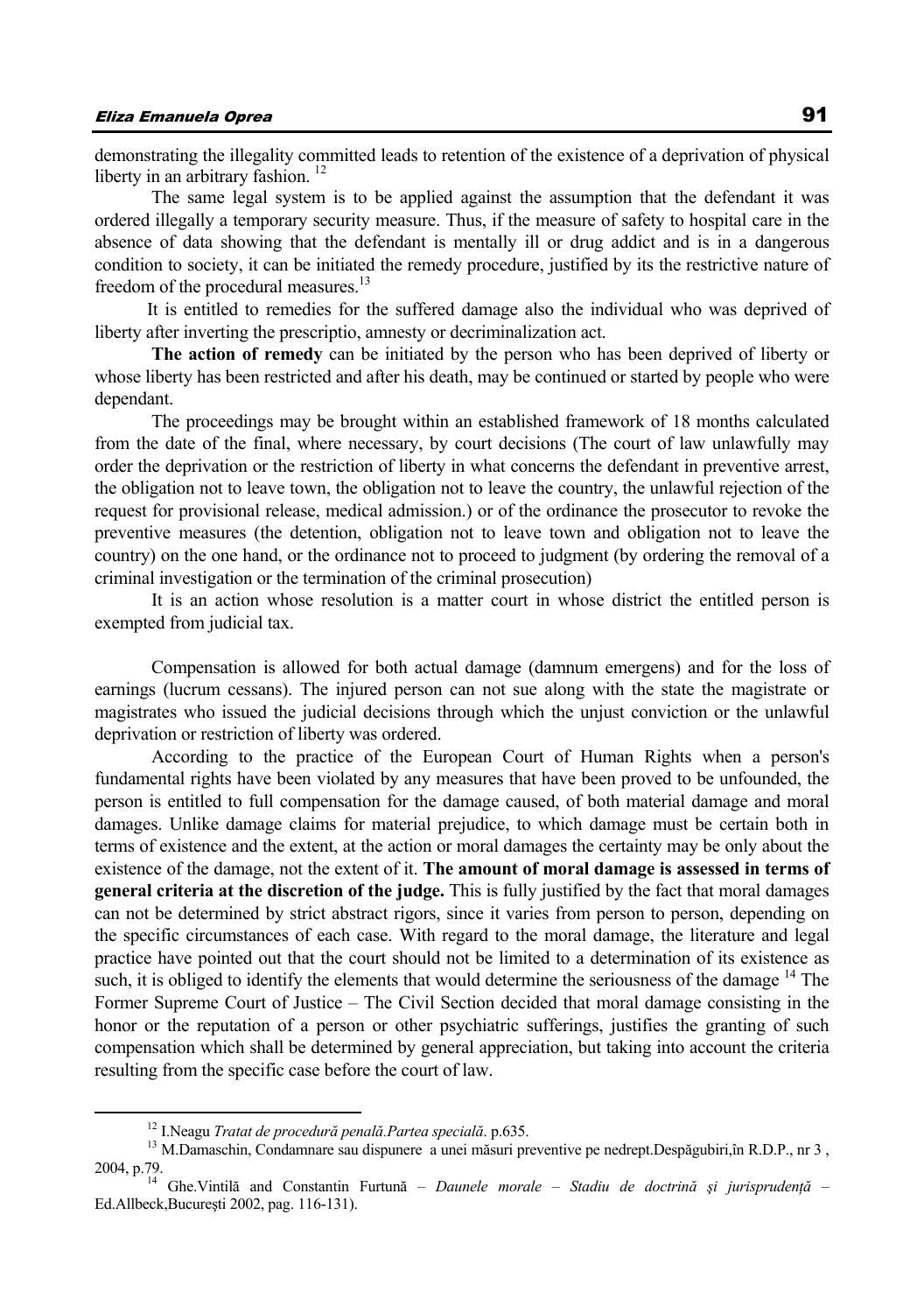demonstrating the illegality committed leads to retention of the existence of a deprivation of physical liberty in an arbitrary fashion.<sup>12</sup>

 The same legal system is to be applied against the assumption that the defendant it was ordered illegally a temporary security measure. Thus, if the measure of safety to hospital care in the absence of data showing that the defendant is mentally ill or drug addict and is in a dangerous condition to society, it can be initiated the remedy procedure, justified by its the restrictive nature of freedom of the procedural measures.<sup>13</sup>

It is entitled to remedies for the suffered damage also the individual who was deprived of liberty after inverting the prescriptio, amnesty or decriminalization act.

**The action of remedy** can be initiated by the person who has been deprived of liberty or whose liberty has been restricted and after his death, may be continued or started by people who were dependant.

 The proceedings may be brought within an established framework of 18 months calculated from the date of the final, where necessary, by court decisions (The court of law unlawfully may order the deprivation or the restriction of liberty in what concerns the defendant in preventive arrest, the obligation not to leave town, the obligation not to leave the country, the unlawful rejection of the request for provisional release, medical admission.) or of the ordinance the prosecutor to revoke the preventive measures (the detention, obligation not to leave town and obligation not to leave the country) on the one hand, or the ordinance not to proceed to judgment (by ordering the removal of a criminal investigation or the termination of the criminal prosecution)

 It is an action whose resolution is a matter court in whose district the entitled person is exempted from judicial tax.

 Compensation is allowed for both actual damage (damnum emergens) and for the loss of earnings (lucrum cessans). The injured person can not sue along with the state the magistrate or magistrates who issued the judicial decisions through which the unjust conviction or the unlawful deprivation or restriction of liberty was ordered.

 According to the practice of the European Court of Human Rights when a person's fundamental rights have been violated by any measures that have been proved to be unfounded, the person is entitled to full compensation for the damage caused, of both material damage and moral damages. Unlike damage claims for material prejudice, to which damage must be certain both in terms of existence and the extent, at the action or moral damages the certainty may be only about the existence of the damage, not the extent of it. **The amount of moral damage is assessed in terms of general criteria at the discretion of the judge.** This is fully justified by the fact that moral damages can not be determined by strict abstract rigors, since it varies from person to person, depending on the specific circumstances of each case. With regard to the moral damage, the literature and legal practice have pointed out that the court should not be limited to a determination of its existence as such, it is obliged to identify the elements that would determine the seriousness of the damage  $14$  The Former Supreme Court of Justice – The Civil Section decided that moral damage consisting in the honor or the reputation of a person or other psychiatric sufferings, justifies the granting of such compensation which shall be determined by general appreciation, but taking into account the criteria resulting from the specific case before the court of law.

<sup>&</sup>lt;sup>12</sup> I.Neagu *Tratat de procedură penală.Partea specială*. p.635.<br><sup>13</sup> M.Damaschin, Condamnare sau dispunere a unei măsuri preventive pe nedrept.Despăgubiri,în R.D.P., nr 3, 2004, p.79. 14 Ghe.Vintilă and Constantin Furtună – *Daunele morale – Stadiu de doctrin<sup>ă</sup> <sup>ş</sup>i jurisprudenţă* –

Ed.Allbeck,Bucureşti 2002, pag. 116-131).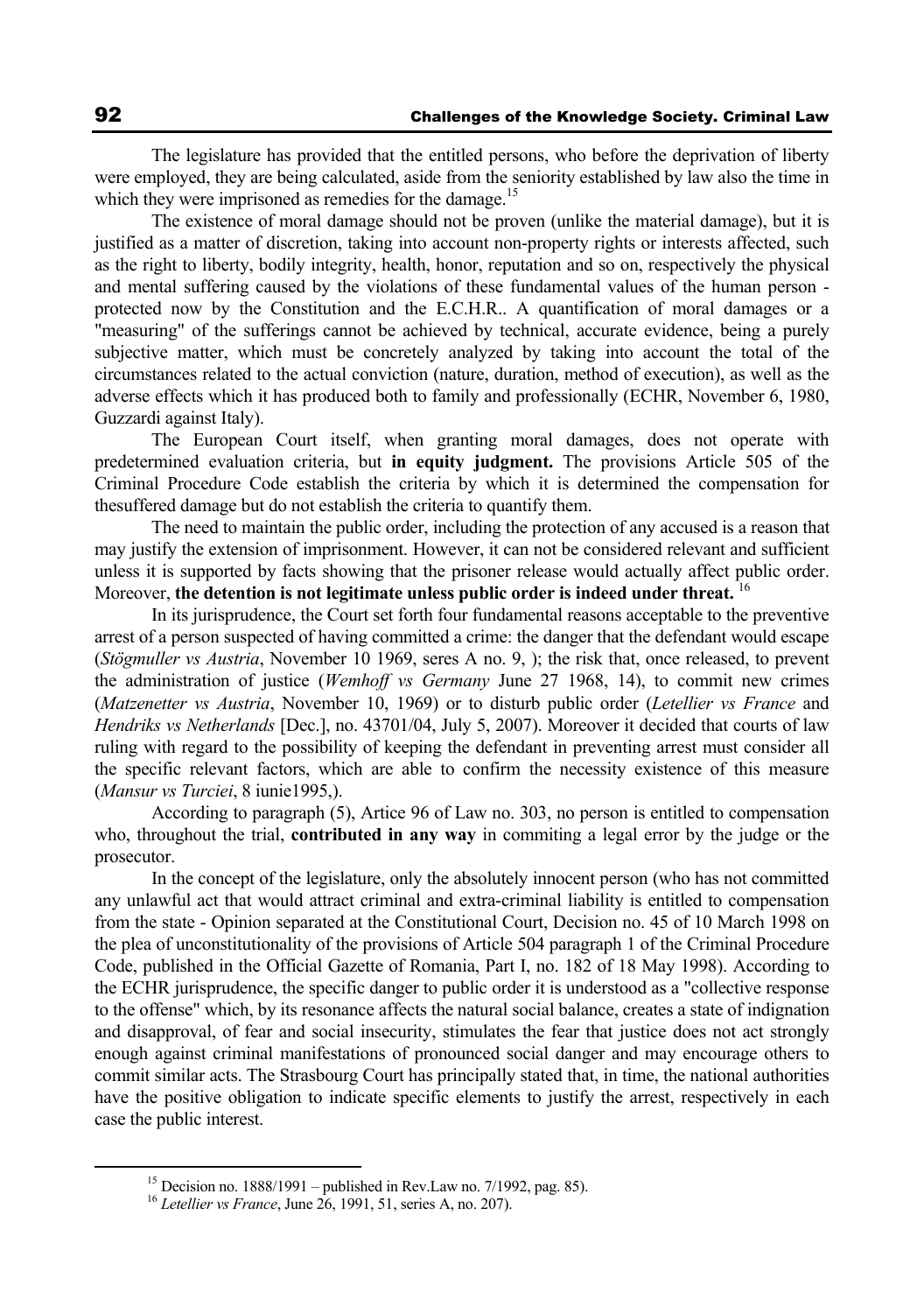The legislature has provided that the entitled persons, who before the deprivation of liberty were employed, they are being calculated, aside from the seniority established by law also the time in which they were imprisoned as remedies for the damage.<sup>15</sup>

 The existence of moral damage should not be proven (unlike the material damage), but it is justified as a matter of discretion, taking into account non-property rights or interests affected, such as the right to liberty, bodily integrity, health, honor, reputation and so on, respectively the physical and mental suffering caused by the violations of these fundamental values of the human person protected now by the Constitution and the E.C.H.R.. A quantification of moral damages or a "measuring" of the sufferings cannot be achieved by technical, accurate evidence, being a purely subjective matter, which must be concretely analyzed by taking into account the total of the circumstances related to the actual conviction (nature, duration, method of execution), as well as the adverse effects which it has produced both to family and professionally (ECHR, November 6, 1980, Guzzardi against Italy).

 The European Court itself, when granting moral damages, does not operate with predetermined evaluation criteria, but **in equity judgment.** The provisions Article 505 of the Criminal Procedure Code establish the criteria by which it is determined the compensation for thesuffered damage but do not establish the criteria to quantify them.

 The need to maintain the public order, including the protection of any accused is a reason that may justify the extension of imprisonment. However, it can not be considered relevant and sufficient unless it is supported by facts showing that the prisoner release would actually affect public order. Moreover, **the detention is not legitimate unless public order is indeed under threat.** 16

 In its jurisprudence, the Court set forth four fundamental reasons acceptable to the preventive arrest of a person suspected of having committed a crime: the danger that the defendant would escape (*Stögmuller vs Austria*, November 10 1969, seres A no. 9, ); the risk that, once released, to prevent the administration of justice (*Wemhoff vs Germany* June 27 1968, 14), to commit new crimes (*Matzenetter vs Austria*, November 10, 1969) or to disturb public order (*Letellier vs France* and *Hendriks vs Netherlands* [Dec.], no. 43701/04, July 5, 2007). Moreover it decided that courts of law ruling with regard to the possibility of keeping the defendant in preventing arrest must consider all the specific relevant factors, which are able to confirm the necessity existence of this measure (*Mansur vs Turciei*, 8 iunie1995,).

 According to paragraph (5), Artice 96 of Law no. 303, no person is entitled to compensation who, throughout the trial, **contributed in any way** in commiting a legal error by the judge or the prosecutor.

 In the concept of the legislature, only the absolutely innocent person (who has not committed any unlawful act that would attract criminal and extra-criminal liability is entitled to compensation from the state - Opinion separated at the Constitutional Court, Decision no. 45 of 10 March 1998 on the plea of unconstitutionality of the provisions of Article 504 paragraph 1 of the Criminal Procedure Code, published in the Official Gazette of Romania, Part I, no. 182 of 18 May 1998). According to the ECHR jurisprudence, the specific danger to public order it is understood as a "collective response to the offense" which, by its resonance affects the natural social balance, creates a state of indignation and disapproval, of fear and social insecurity, stimulates the fear that justice does not act strongly enough against criminal manifestations of pronounced social danger and may encourage others to commit similar acts. The Strasbourg Court has principally stated that, in time, the national authorities have the positive obligation to indicate specific elements to justify the arrest, respectively in each case the public interest.

 <sup>15</sup> Decision no. 1888/1991 – published in Rev.Law no. 7/1992, pag. 85). 16 *Letellier vs France*, June 26, 1991, 51, series A, no. 207).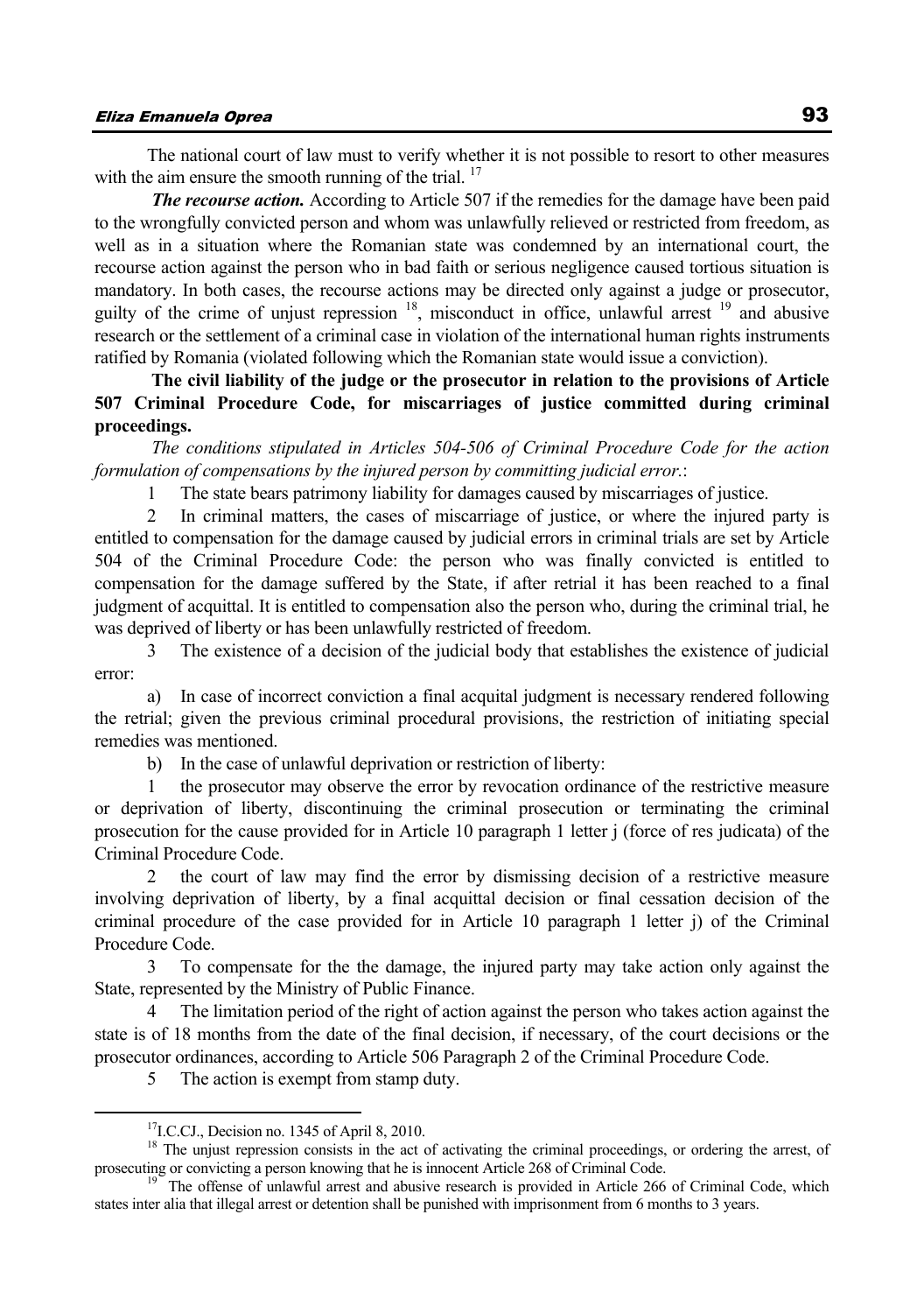The national court of law must to verify whether it is not possible to resort to other measures with the aim ensure the smooth running of the trial.  $17$ 

*The recourse action.* According to Article 507 if the remedies for the damage have been paid to the wrongfully convicted person and whom was unlawfully relieved or restricted from freedom, as well as in a situation where the Romanian state was condemned by an international court, the recourse action against the person who in bad faith or serious negligence caused tortious situation is mandatory. In both cases, the recourse actions may be directed only against a judge or prosecutor, guilty of the crime of unjust repression <sup>18</sup>, misconduct in office, unlawful arrest <sup>19</sup> and abusive research or the settlement of a criminal case in violation of the international human rights instruments ratified by Romania (violated following which the Romanian state would issue a conviction).

 **The civil liability of the judge or the prosecutor in relation to the provisions of Article 507 Criminal Procedure Code, for miscarriages of justice committed during criminal proceedings.** 

 *The conditions stipulated in Articles 504-506 of Criminal Procedure Code for the action formulation of compensations by the injured person by committing judicial error.*:

1 The state bears patrimony liability for damages caused by miscarriages of justice.

2 In criminal matters, the cases of miscarriage of justice, or where the injured party is entitled to compensation for the damage caused by judicial errors in criminal trials are set by Article 504 of the Criminal Procedure Code: the person who was finally convicted is entitled to compensation for the damage suffered by the State, if after retrial it has been reached to a final judgment of acquittal. It is entitled to compensation also the person who, during the criminal trial, he was deprived of liberty or has been unlawfully restricted of freedom.

3 The existence of a decision of the judicial body that establishes the existence of judicial error:

a) In case of incorrect conviction a final acquital judgment is necessary rendered following the retrial; given the previous criminal procedural provisions, the restriction of initiating special remedies was mentioned.

b) In the case of unlawful deprivation or restriction of liberty:

1 the prosecutor may observe the error by revocation ordinance of the restrictive measure or deprivation of liberty, discontinuing the criminal prosecution or terminating the criminal prosecution for the cause provided for in Article 10 paragraph 1 letter j (force of res judicata) of the Criminal Procedure Code.

2 the court of law may find the error by dismissing decision of a restrictive measure involving deprivation of liberty, by a final acquittal decision or final cessation decision of the criminal procedure of the case provided for in Article 10 paragraph 1 letter j) of the Criminal Procedure Code.

3 To compensate for the the damage, the injured party may take action only against the State, represented by the Ministry of Public Finance.

4 The limitation period of the right of action against the person who takes action against the state is of 18 months from the date of the final decision, if necessary, of the court decisions or the prosecutor ordinances, according to Article 506 Paragraph 2 of the Criminal Procedure Code.

5 The action is exempt from stamp duty.

<sup>&</sup>lt;sup>17</sup>I.C.CJ., Decision no. 1345 of April 8, 2010.<br><sup>18</sup> The unjust repression consists in the act of activating the criminal proceedings, or ordering the arrest, of prosecuting or convicting a person knowing that he is innocent Article 268 of Criminal Code.<br><sup>19</sup> The offense of unlawful arrest and abusive research is provided in Article 266 of Criminal Code, which

states inter alia that illegal arrest or detention shall be punished with imprisonment from 6 months to 3 years.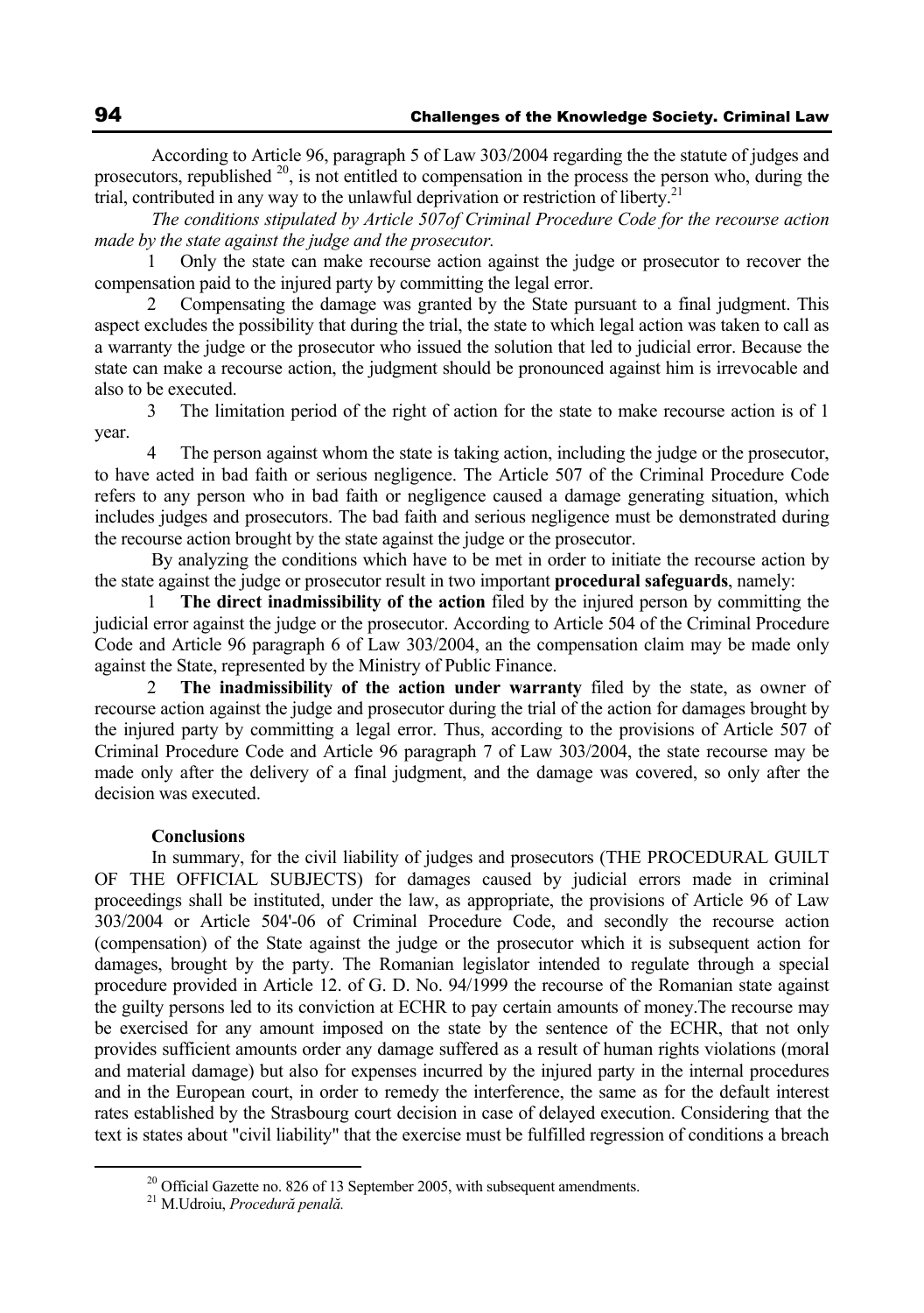According to Article 96, paragraph 5 of Law 303/2004 regarding the the statute of judges and prosecutors, republished  $20$ , is not entitled to compensation in the process the person who, during the trial, contributed in any way to the unlawful deprivation or restriction of liberty.<sup>21</sup>

*The conditions stipulated by Article 507of Criminal Procedure Code for the recourse action made by the state against the judge and the prosecutor.* 

1 Only the state can make recourse action against the judge or prosecutor to recover the compensation paid to the injured party by committing the legal error.

2 Compensating the damage was granted by the State pursuant to a final judgment. This aspect excludes the possibility that during the trial, the state to which legal action was taken to call as a warranty the judge or the prosecutor who issued the solution that led to judicial error. Because the state can make a recourse action, the judgment should be pronounced against him is irrevocable and also to be executed.

3 The limitation period of the right of action for the state to make recourse action is of 1 year.

4 The person against whom the state is taking action, including the judge or the prosecutor, to have acted in bad faith or serious negligence. The Article 507 of the Criminal Procedure Code refers to any person who in bad faith or negligence caused a damage generating situation, which includes judges and prosecutors. The bad faith and serious negligence must be demonstrated during the recourse action brought by the state against the judge or the prosecutor.

 By analyzing the conditions which have to be met in order to initiate the recourse action by the state against the judge or prosecutor result in two important **procedural safeguards**, namely:

1 **The direct inadmissibility of the action** filed by the injured person by committing the judicial error against the judge or the prosecutor. According to Article 504 of the Criminal Procedure Code and Article 96 paragraph 6 of Law 303/2004, an the compensation claim may be made only against the State, represented by the Ministry of Public Finance.

2 **The inadmissibility of the action under warranty** filed by the state, as owner of recourse action against the judge and prosecutor during the trial of the action for damages brought by the injured party by committing a legal error. Thus, according to the provisions of Article 507 of Criminal Procedure Code and Article 96 paragraph 7 of Law 303/2004, the state recourse may be made only after the delivery of a final judgment, and the damage was covered, so only after the decision was executed.

#### **Conclusions**

 In summary, for the civil liability of judges and prosecutors (THE PROCEDURAL GUILT OF THE OFFICIAL SUBJECTS) for damages caused by judicial errors made in criminal proceedings shall be instituted, under the law, as appropriate, the provisions of Article 96 of Law 303/2004 or Article 504'-06 of Criminal Procedure Code, and secondly the recourse action (compensation) of the State against the judge or the prosecutor which it is subsequent action for damages, brought by the party. The Romanian legislator intended to regulate through a special procedure provided in Article 12. of G. D. No. 94/1999 the recourse of the Romanian state against the guilty persons led to its conviction at ECHR to pay certain amounts of money.The recourse may be exercised for any amount imposed on the state by the sentence of the ECHR, that not only provides sufficient amounts order any damage suffered as a result of human rights violations (moral and material damage) but also for expenses incurred by the injured party in the internal procedures and in the European court, in order to remedy the interference, the same as for the default interest rates established by the Strasbourg court decision in case of delayed execution. Considering that the text is states about "civil liability" that the exercise must be fulfilled regression of conditions a breach

 $20$  Official Gazette no. 826 of 13 September 2005, with subsequent amendments.

<sup>21</sup> M.Udroiu, *Procedură penală.*